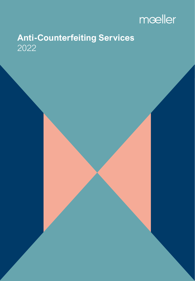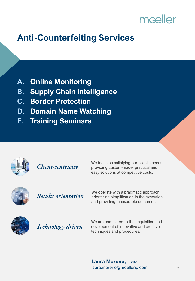# mœller

# **Anti-Counterfeiting Services**

- **A. Online Monitoring**
- **B. Supply Chain Intelligence**
- **C. Border Protection**
- **D. Domain Name Watching**
- **E. Training Seminars**



Client-centricity

We focus on satisfying our client's needs providing custom-made, practical and easy solutions at competitive costs.



### **Results orientation**

We operate with a pragmatic approach, prioritizing simplification in the execution and providing measurable outcomes.



Technology-driven

We are committed to the acquisition and development of innovative and creative techniques and procedures.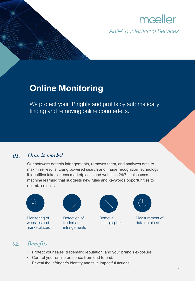### **Online Monitoring**

We protect your IP rights and profits by automatically finding and removing online counterfeits.

#### How it works? 01.

Our software detects infringements, removes them, and analyzes data to maximize results. Using powered search and image recognition technology, it identifies fakes across marketplaces and websites 24/7. It also uses machine learning that suggests new rules and keywords opportunities to optimize results.



- Protect your sales, trademark reputation, and your brand's exposure.
- Control your online presence from end to end.
- Reveal the infringer's identity and take impactful actions.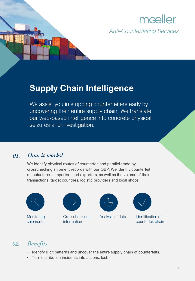

### **Supply Chain Intelligence**

We assist you in stopping counterfeiters early by uncovering their entire supply chain. We translate our web-based intelligence into concrete physical seizures and investigation.

#### How it works? 01.

We identify physical routes of counterfeit and parallel-trade by crosschecking shipment records with our OBP. We identify counterfeit manufacturers, importers and exporters, as well as the volume of their transactions, target countries, logistic providers and local shops.



- Identify illicit patterns and uncover the entire supply chain of counterfeits.
- Turn distribution incidents into actions, fast.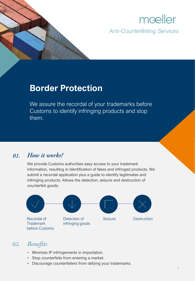

### **Border Protection**

We assure the recordal of your trademarks before Customs to identify infringing products and stop them.

#### How it works? 01.

We provide Customs authorities easy access to your trademark information, resulting in identification of fakes and infringed products. We submit a recordal application plus a guide to identify legitimates and infringing products. Allows the detection, seizure and destruction of counterfeit goods.



- Minimize IP infringements in importation.
- Stop counterfeits from entering a market.
- Discourage counterfeiters from defying your trademarks.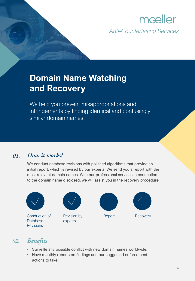# **Domain Name Watching and Recovery**

We help you prevent misappropriations and infringements by finding identical and confusingly similar domain names.

#### How it works? 01.

We conduct database revisions with polished algorithms that provide an initial report, which is revised by our experts. We send you a report with the most relevant domain names. With our professional services in connection to the domain name disclosed, we will assist you in the recovery procedure.



- Surveille any possible conflict with new domain names worldwide.
- Have monthly reports on findings and our suggested enforcement actions to take.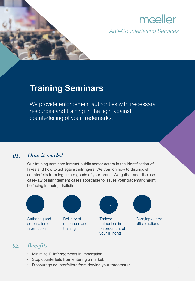

### **Training Seminars**

We provide enforcement authorities with necessary resources and training in the fight against counterfeiting of your trademarks.

#### How it works? 01.

Our training seminars instruct public sector actors in the identification of fakes and how to act against infringers. We train on how to distinguish counterfeits from legitimate goods of your brand. We gather and disclose case-law of infringement cases applicable to issues your trademark might be facing in their jurisdictions.



#### $02.$ **Benefits**

- Minimize IP infringements in importation.
- Stop counterfeits from entering a market.
- Discourage counterfeiters from defying your trademarks.